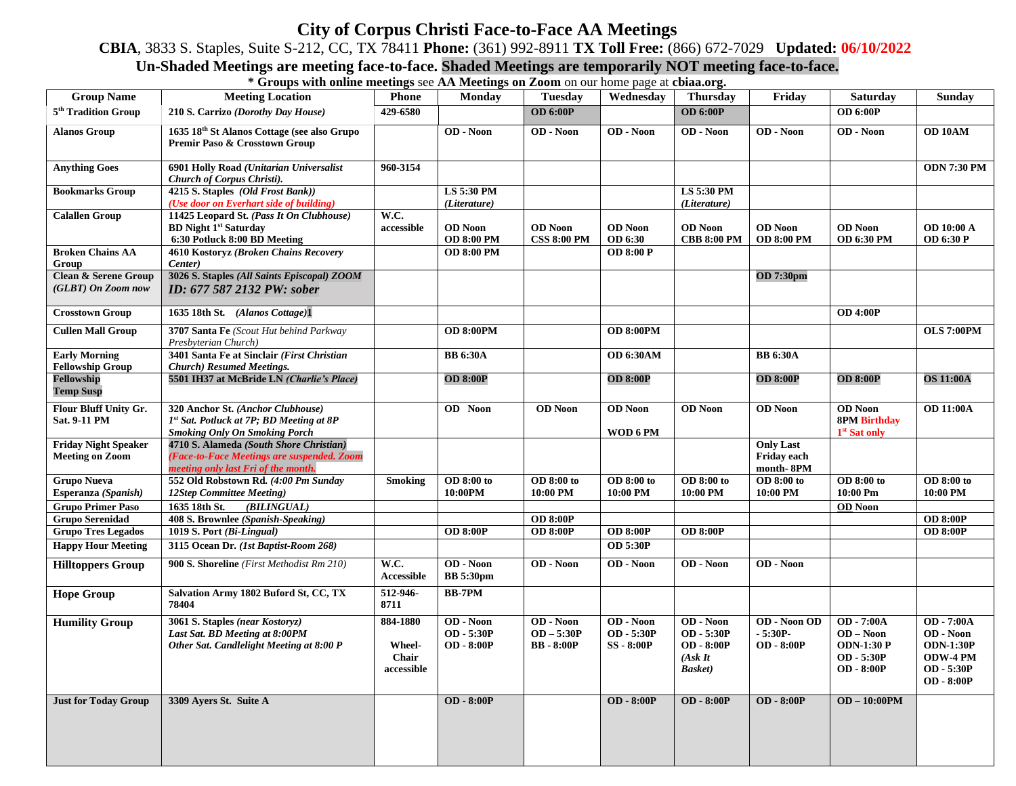## **City of Corpus Christi Face-to-Face AA Meetings**

**CBIA**, 3833 S. Staples, Suite S-212, CC, TX 78411 **Phone:** (361) 992-8911 **TX Toll Free:** (866) 672-7029 **Updated: 06/10/2022**

## **Un-Shaded Meetings are meeting face-to-face. Shaded Meetings are temporarily NOT meeting face-to-face.**

**\* Groups with online meetings** see **AA Meetings on Zoom** on our home page at **cbiaa.org.**

| <b>Group Name</b>                                     | <b>Meeting Location</b>                                                                                                      | <b>Phone</b>                                     | <b>Monday</b>                           | <b>Tuesday</b>                               | Wednesday                                  | <b>Thursday</b>                                                            | Friday                                         | <b>Saturday</b>                                                            | Sunday                                                                                            |
|-------------------------------------------------------|------------------------------------------------------------------------------------------------------------------------------|--------------------------------------------------|-----------------------------------------|----------------------------------------------|--------------------------------------------|----------------------------------------------------------------------------|------------------------------------------------|----------------------------------------------------------------------------|---------------------------------------------------------------------------------------------------|
| 5 <sup>th</sup> Tradition Group                       | 210 S. Carrizo (Dorothy Day House)                                                                                           | 429-6580                                         |                                         | <b>OD 6:00P</b>                              |                                            | <b>OD 6:00P</b>                                                            |                                                | <b>OD 6:00P</b>                                                            |                                                                                                   |
| <b>Alanos Group</b>                                   | 1635 18th St Alanos Cottage (see also Grupo<br>Premir Paso & Crosstown Group                                                 |                                                  | OD - Noon                               | OD - Noon                                    | $\overline{OD - N0}$                       | OD - Noon                                                                  | OD - Noon                                      | OD - Noon                                                                  | OD 10AM                                                                                           |
| <b>Anything Goes</b>                                  | 6901 Holly Road (Unitarian Universalist<br>Church of Corpus Christi).                                                        | 960-3154                                         |                                         |                                              |                                            |                                                                            |                                                |                                                                            | <b>ODN 7:30 PM</b>                                                                                |
| <b>Bookmarks Group</b>                                | 4215 S. Staples (Old Frost Bank))<br>(Use door on Everhart side of building)                                                 |                                                  | LS 5:30 PM<br>(Literature)              |                                              |                                            | LS 5:30 PM<br>(Literature)                                                 |                                                |                                                                            |                                                                                                   |
| <b>Calallen Group</b>                                 | 11425 Leopard St. (Pass It On Clubhouse)<br><b>BD Night 1st Saturday</b><br>6:30 Potluck 8:00 BD Meeting                     | W.C.<br>accessible                               | <b>OD</b> Noon<br><b>OD 8:00 PM</b>     | <b>OD</b> Noon<br><b>CSS 8:00 PM</b>         | <b>OD</b> Noon<br>OD 6:30                  | <b>OD</b> Noon<br><b>CBB 8:00 PM</b>                                       | <b>OD</b> Noon<br><b>OD 8:00 PM</b>            | <b>OD</b> Noon<br><b>OD 6:30 PM</b>                                        | <b>OD 10:00 A</b><br><b>OD 6:30 P</b>                                                             |
| <b>Broken Chains AA</b><br>Group                      | 4610 Kostoryz (Broken Chains Recovery<br>Center)                                                                             |                                                  | <b>OD 8:00 PM</b>                       |                                              | <b>OD 8:00 P</b>                           |                                                                            |                                                |                                                                            |                                                                                                   |
| <b>Clean &amp; Serene Group</b><br>(GLBT) On Zoom now | 3026 S. Staples (All Saints Episcopal) ZOOM<br>ID: 677 587 2132 PW: sober                                                    |                                                  |                                         |                                              |                                            |                                                                            | <b>OD 7:30pm</b>                               |                                                                            |                                                                                                   |
| <b>Crosstown Group</b>                                | 1635 18th St. (Alanos Cottage)1                                                                                              |                                                  |                                         |                                              |                                            |                                                                            |                                                | <b>OD 4:00P</b>                                                            |                                                                                                   |
| <b>Cullen Mall Group</b>                              | 3707 Santa Fe (Scout Hut behind Parkway<br>Presbyterian Church)                                                              |                                                  | <b>OD 8:00PM</b>                        |                                              | <b>OD 8:00PM</b>                           |                                                                            |                                                |                                                                            | <b>OLS 7:00PM</b>                                                                                 |
| <b>Early Morning</b><br><b>Fellowship Group</b>       | 3401 Santa Fe at Sinclair (First Christian<br><b>Church</b> ) Resumed Meetings.                                              |                                                  | <b>BB</b> 6:30A                         |                                              | <b>OD 6:30AM</b>                           |                                                                            | <b>BB</b> 6:30A                                |                                                                            |                                                                                                   |
| Fellowship<br><b>Temp Susp</b>                        | 5501 IH37 at McBride LN (Charlie's Place)                                                                                    |                                                  | <b>OD 8:00P</b>                         |                                              | <b>OD 8:00P</b>                            |                                                                            | <b>OD 8:00P</b>                                | <b>OD 8:00P</b>                                                            | <b>OS 11:00A</b>                                                                                  |
| Flour Bluff Unity Gr.<br>Sat. 9-11 PM                 | 320 Anchor St. (Anchor Clubhouse)<br>1st Sat. Potluck at 7P; BD Meeting at 8P<br><b>Smoking Only On Smoking Porch</b>        |                                                  | <b>OD</b> Noon                          | <b>OD</b> Noon                               | <b>OD</b> Noon<br>WOD 6 PM                 | <b>OD</b> Noon                                                             | <b>OD</b> Noon                                 | <b>OD</b> Noon<br><b>8PM Birthday</b><br>1 <sup>st</sup> Sat only          | <b>OD 11:00A</b>                                                                                  |
| <b>Friday Night Speaker</b><br><b>Meeting on Zoom</b> | 4710 S. Alameda (South Shore Christian)<br>(Face-to-Face Meetings are suspended. Zoom<br>meeting only last Fri of the month. |                                                  |                                         |                                              |                                            |                                                                            | <b>Only Last</b><br>Friday each<br>month-8PM   |                                                                            |                                                                                                   |
| <b>Grupo Nueva</b><br>Esperanza (Spanish)             | 552 Old Robstown Rd. (4:00 Pm Sunday<br>12Step Committee Meeting)                                                            | <b>Smoking</b>                                   | OD 8:00 to<br>10:00PM                   | OD 8:00 to<br>10:00 PM                       | OD 8:00 to<br>10:00 PM                     | OD 8:00 to<br>10:00 PM                                                     | OD 8:00 to<br>10:00 PM                         | OD 8:00 to<br>10:00 Pm                                                     | <b>OD 8:00 to</b><br>10:00 PM                                                                     |
| <b>Grupo Primer Paso</b>                              | 1635 18th St.<br>(BILINGUAL)                                                                                                 |                                                  |                                         |                                              |                                            |                                                                            |                                                | <b>OD</b> Noon                                                             |                                                                                                   |
| <b>Grupo Serenidad</b>                                | 408 S. Brownlee (Spanish-Speaking)                                                                                           |                                                  |                                         | <b>OD 8:00P</b>                              |                                            |                                                                            |                                                |                                                                            | <b>OD 8:00P</b>                                                                                   |
| <b>Grupo Tres Legados</b>                             | 1019 S. Port (Bi-Lingual)                                                                                                    |                                                  | <b>OD 8:00P</b>                         | <b>OD 8:00P</b>                              | <b>OD 8:00P</b>                            | <b>OD 8:00P</b>                                                            |                                                |                                                                            | <b>OD 8:00P</b>                                                                                   |
| <b>Happy Hour Meeting</b>                             | 3115 Ocean Dr. (1st Baptist-Room 268)                                                                                        |                                                  |                                         |                                              | <b>OD 5:30P</b>                            |                                                                            |                                                |                                                                            |                                                                                                   |
| <b>Hilltoppers Group</b>                              | 900 S. Shoreline (First Methodist Rm 210)                                                                                    | W.C.<br><b>Accessible</b>                        | OD - Noon<br><b>BB</b> 5:30pm           | <b>OD</b> - Noon                             | <b>OD</b> - Noon                           | OD - Noon                                                                  | $\overline{OD - Noon}$                         |                                                                            |                                                                                                   |
| <b>Hope Group</b>                                     | Salvation Army 1802 Buford St, CC, TX<br>78404                                                                               | 512-946-<br>8711                                 | <b>BB-7PM</b>                           |                                              |                                            |                                                                            |                                                |                                                                            |                                                                                                   |
| <b>Humility Group</b>                                 | 3061 S. Staples (near Kostoryz)<br>Last Sat. BD Meeting at 8:00PM<br>Other Sat. Candlelight Meeting at 8:00 P                | 884-1880<br><b>Wheel-</b><br>Chair<br>accessible | OD - Noon<br>OD - 5:30P<br>$OD - 8:00P$ | OD - Noon<br>$OD - 5:30P$<br><b>BB-8:00P</b> | OD - Noon<br>OD - 5:30P<br><b>SS-8:00P</b> | OD - Noon<br>OD - 5:30P<br><b>OD</b> - 8:00P<br>(AskIt)<br><b>Basket</b> ) | OD - Noon OD<br>$-5:30P-$<br><b>OD</b> - 8:00P | OD - 7:00A<br>$OD - Noon$<br><b>ODN-1:30 P</b><br>OD - 5:30P<br>OD - 8:00P | OD - 7:00A<br>OD - Noon<br><b>ODN-1:30P</b><br><b>ODW-4 PM</b><br>OD - 5:30P<br><b>OD</b> - 8:00P |
| <b>Just for Today Group</b>                           | 3309 Ayers St. Suite A                                                                                                       |                                                  | <b>OD</b> - 8:00P                       |                                              | <b>OD</b> - 8:00P                          | <b>OD</b> - 8:00P                                                          | <b>OD</b> - 8:00P                              | $OD - 10:00PM$                                                             |                                                                                                   |